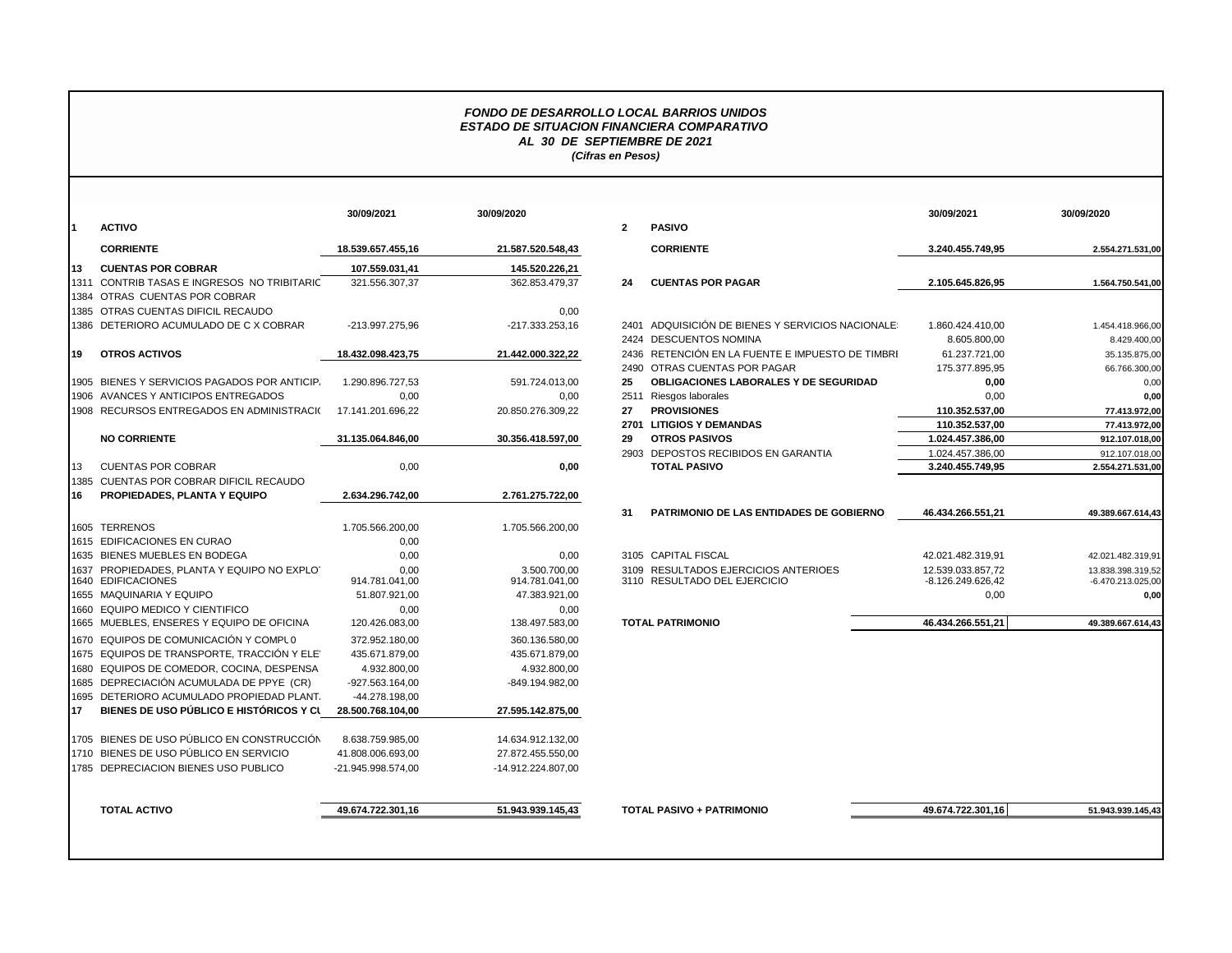## *FONDO DE DESARROLLO LOCAL BARRIOS UNIDOS ESTADO DE SITUACION FINANCIERA COMPARATIVO AL 30 DE SEPTIEMBRE DE 2021 (Cifras en Pesos)*

|      |                                                | 30/09/2021            | 30/09/2020             |                |                                                  | 30/09/2021        | 30/09/2020          |
|------|------------------------------------------------|-----------------------|------------------------|----------------|--------------------------------------------------|-------------------|---------------------|
|      | <b>ACTIVO</b>                                  |                       |                        | $\overline{2}$ | <b>PASIVO</b>                                    |                   |                     |
|      | <b>CORRIENTE</b>                               | 18.539.657.455,16     | 21.587.520.548,43      |                | <b>CORRIENTE</b>                                 | 3.240.455.749,95  | 2.554.271.531,00    |
| 113  | <b>CUENTAS POR COBRAR</b>                      | 107.559.031.41        | 145.520.226.21         |                |                                                  |                   |                     |
|      | 1311 CONTRIB TASAS E INGRESOS NO TRIBITARIC    | 321.556.307,37        | 362.853.479,37         | 24             | <b>CUENTAS POR PAGAR</b>                         | 2.105.645.826,95  | 1.564.750.541,00    |
|      | 1384 OTRAS CUENTAS POR COBRAR                  |                       |                        |                |                                                  |                   |                     |
|      | 1385 OTRAS CUENTAS DIFICIL RECAUDO             |                       | 0,00                   |                |                                                  |                   |                     |
|      | 1386 DETERIORO ACUMULADO DE C X COBRAR         | -213.997.275.96       | -217.333.253.16        |                | 2401 ADQUISICIÓN DE BIENES Y SERVICIOS NACIONALE | 1.860.424.410.00  | 1.454.418.966.00    |
|      |                                                |                       |                        |                | 2424 DESCUENTOS NOMINA                           | 8.605.800,00      | 8.429.400,00        |
| I19  | <b>OTROS ACTIVOS</b>                           | 18.432.098.423.75     | 21.442.000.322.22      |                | 2436 RETENCIÓN EN LA FUENTE E IMPUESTO DE TIMBRI | 61.237.721.00     | 35.135.875,00       |
|      |                                                |                       |                        |                | 2490 OTRAS CUENTAS POR PAGAR                     | 175.377.895,95    | 66.766.300,00       |
|      | 1905 BIENES Y SERVICIOS PAGADOS POR ANTICIP.   | 1.290.896.727,53      | 591.724.013,00         | 25             | OBLIGACIONES LABORALES Y DE SEGURIDAD            | 0,00              | 0,00                |
|      | 1906 AVANCES Y ANTICIPOS ENTREGADOS            | 0,00                  | 0,00                   |                | 2511 Riesgos laborales                           | 0,00              | 0,00                |
|      | 1908 RECURSOS ENTREGADOS EN ADMINISTRACIO      | 17.141.201.696,22     | 20.850.276.309,22      | 27             | <b>PROVISIONES</b>                               | 110.352.537,00    | 77.413.972,00       |
|      |                                                |                       |                        |                | 2701 LITIGIOS Y DEMANDAS                         | 110.352.537.00    | 77.413.972,00       |
|      | <b>NO CORRIENTE</b>                            | 31.135.064.846,00     | 30.356.418.597,00      | 29             | <b>OTROS PASIVOS</b>                             | 1.024.457.386,00  | 912.107.018,00      |
|      |                                                |                       |                        |                | 2903 DEPOSTOS RECIBIDOS EN GARANTIA              | 1.024.457.386,00  | 912.107.018,00      |
| 13   | <b>CUENTAS POR COBRAR</b>                      | 0,00                  | 0,00                   |                | <b>TOTAL PASIVO</b>                              | 3.240.455.749,95  | 2.554.271.531,00    |
|      | 1385 CUENTAS POR COBRAR DIFICIL RECAUDO        |                       |                        |                |                                                  |                   |                     |
| I16. | PROPIEDADES, PLANTA Y EQUIPO                   | 2.634.296.742,00      | 2.761.275.722,00       |                |                                                  |                   |                     |
|      |                                                |                       |                        | 31             | PATRIMONIO DE LAS ENTIDADES DE GOBIERNO          | 46.434.266.551,21 | 49.389.667.614,43   |
|      | 1605 TERRENOS                                  | 1.705.566.200,00      | 1.705.566.200,00       |                |                                                  |                   |                     |
|      | 1615 EDIFICACIONES EN CURAO                    | 0,00                  |                        |                |                                                  |                   |                     |
|      | 1635 BIENES MUEBLES EN BODEGA                  | 0,00                  | 0,00                   |                | 3105 CAPITAL FISCAL                              | 42.021.482.319.91 | 42.021.482.319.91   |
|      | 1637 PROPIEDADES, PLANTA Y EQUIPO NO EXPLOT    | 0.00                  | 3.500.700,00           |                | 3109 RESULTADOS EJERCICIOS ANTERIOES             | 12.539.033.857,72 | 13.838.398.319,52   |
|      | 1640 EDIFICACIONES<br>1655 MAQUINARIA Y EQUIPO | 914.781.041,00        | 914.781.041,00         |                | 3110 RESULTADO DEL EJERCICIO                     | -8.126.249.626,42 | $-6.470.213.025,00$ |
|      | 1660 EQUIPO MEDICO Y CIENTIFICO                | 51.807.921,00<br>0,00 | 47.383.921,00          |                |                                                  | 0,00              | 0.00                |
|      | 1665 MUEBLES, ENSERES Y EQUIPO DE OFICINA      | 120.426.083,00        | 0,00<br>138.497.583,00 |                | <b>TOTAL PATRIMONIO</b>                          | 46.434.266.551,21 | 49.389.667.614,43   |
|      |                                                |                       |                        |                |                                                  |                   |                     |
|      | 1670 EQUIPOS DE COMUNICACIÓN Y COMPLO          | 372.952.180,00        | 360.136.580,00         |                |                                                  |                   |                     |
|      | 1675 EQUIPOS DE TRANSPORTE. TRACCIÓN Y ELE     | 435.671.879,00        | 435.671.879,00         |                |                                                  |                   |                     |
|      | 1680 EQUIPOS DE COMEDOR, COCINA, DESPENSA      | 4.932.800,00          | 4.932.800,00           |                |                                                  |                   |                     |
|      | 1685 DEPRECIACIÓN ACUMULADA DE PPYE (CR)       | -927.563.164,00       | -849.194.982,00        |                |                                                  |                   |                     |
|      | 1695 DETERIORO ACUMULADO PROPIEDAD PLANT.      | -44.278.198,00        |                        |                |                                                  |                   |                     |
| 117  | BIENES DE USO PÚBLICO E HISTÓRICOS Y CL        | 28.500.768.104,00     | 27.595.142.875,00      |                |                                                  |                   |                     |
|      | 1705 BIENES DE USO PÚBLICO EN CONSTRUCCIÓN     | 8.638.759.985,00      | 14.634.912.132,00      |                |                                                  |                   |                     |
|      | 1710 BIENES DE USO PÚBLICO EN SERVICIO         | 41.808.006.693,00     | 27.872.455.550,00      |                |                                                  |                   |                     |
|      | 1785 DEPRECIACION BIENES USO PUBLICO           | -21.945.998.574,00    | -14.912.224.807,00     |                |                                                  |                   |                     |
|      | <b>TOTAL ACTIVO</b>                            | 49.674.722.301,16     | 51.943.939.145,43      |                | <b>TOTAL PASIVO + PATRIMONIO</b>                 | 49.674.722.301,16 | 51.943.939.145,43   |
|      |                                                |                       |                        |                |                                                  |                   |                     |

|                                                                | 30/09/2021             | 30/09/2020                       |                         |                                                                      | 30/09/2021                             | 30/09/2020                               |
|----------------------------------------------------------------|------------------------|----------------------------------|-------------------------|----------------------------------------------------------------------|----------------------------------------|------------------------------------------|
| ACTIVO                                                         |                        |                                  | $\overline{\mathbf{2}}$ | <b>PASIVO</b>                                                        |                                        |                                          |
| <b>CORRIENTE</b>                                               | 18.539.657.455.16      | 21.587.520.548,43                |                         | <b>CORRIENTE</b>                                                     | 3.240.455.749.95                       | 2.554.271.531,00                         |
| <b>CUENTAS POR COBRAR</b>                                      | 107.559.031.41         | 145.520.226,21                   |                         |                                                                      |                                        |                                          |
| CONTRIB TASAS E INGRESOS NO TRIBITARIC                         | 321.556.307,37         | 362.853.479,37                   | 24                      | <b>CUENTAS POR PAGAR</b>                                             | 2.105.645.826,95                       | 1.564.750.541,00                         |
| OTRAS CUENTAS POR COBRAR                                       |                        |                                  |                         |                                                                      |                                        |                                          |
| OTRAS CUENTAS DIFICIL RECAUDO                                  |                        | 0,00                             |                         |                                                                      |                                        |                                          |
| DETERIORO ACUMULADO DE C X COBRAR                              | -213.997.275,96        | -217.333.253,16                  |                         | 2401 ADQUISICIÓN DE BIENES Y SERVICIOS NACIONALE                     | 1.860.424.410,00                       | 1.454.418.966,00                         |
|                                                                |                        |                                  |                         | 2424 DESCUENTOS NOMINA                                               | 8.605.800,00                           | 8.429.400,00                             |
| <b>OTROS ACTIVOS</b>                                           | 18.432.098.423.75      | 21.442.000.322,22                | 2436                    | RETENCIÓN EN LA FUENTE E IMPUESTO DE TIMBRI                          | 61.237.721,00                          | 35.135.875,00                            |
|                                                                |                        |                                  |                         | 2490 OTRAS CUENTAS POR PAGAR                                         | 175.377.895,95                         | 66.766.300,00                            |
| BIENES Y SERVICIOS PAGADOS POR ANTICIP.                        | 1.290.896.727,53       | 591.724.013,00                   | 25                      | <b>OBLIGACIONES LABORALES Y DE SEGURIDAD</b>                         | 0,00                                   | 0,00                                     |
| AVANCES Y ANTICIPOS ENTREGADOS                                 | 0,00                   | 0,00                             | 2511                    | Riesgos laborales                                                    | 0,00                                   | 0,00                                     |
| RECURSOS ENTREGADOS EN ADMINISTRACI(                           | 17.141.201.696.22      | 20.850.276.309,22                | 27                      | <b>PROVISIONES</b>                                                   | 110.352.537,00                         | 77.413.972,00                            |
|                                                                |                        |                                  |                         | 2701 LITIGIOS Y DEMANDAS                                             | 110.352.537,00                         | 77.413.972,00                            |
| <b>NO CORRIENTE</b>                                            | 31.135.064.846.00      | 30.356.418.597,00                | 29                      | <b>OTROS PASIVOS</b>                                                 | 1.024.457.386.00                       | 912.107.018,00                           |
|                                                                |                        |                                  |                         | 2903 DEPOSTOS RECIBIDOS EN GARANTIA                                  | 1.024.457.386,00                       | 912.107.018,00                           |
| CUENTAS POR COBRAR                                             | 0,00                   | 0,00                             |                         | <b>TOTAL PASIVO</b>                                                  | 3.240.455.749,95                       | 2.554.271.531,00                         |
| CUENTAS POR COBRAR DIFICIL RECAUDO                             |                        |                                  |                         |                                                                      |                                        |                                          |
| PROPIEDADES, PLANTA Y EQUIPO                                   | 2.634.296.742,00       | 2.761.275.722,00                 |                         |                                                                      |                                        |                                          |
|                                                                |                        |                                  | 31                      | <b>PATRIMONIO DE LAS ENTIDADES DE GOBIERNO</b>                       | 46.434.266.551,21                      | 49.389.667.614,43                        |
| <b>TERRENOS</b>                                                | 1.705.566.200,00       | 1.705.566.200,00                 |                         |                                                                      |                                        |                                          |
| EDIFICACIONES EN CURAO                                         | 0,00                   |                                  |                         |                                                                      |                                        |                                          |
| BIENES MUEBLES EN BODEGA                                       | 0,00                   | 0,00                             |                         | 3105 CAPITAL FISCAL                                                  | 42.021.482.319,91                      | 42.021.482.319,9                         |
| PROPIEDADES, PLANTA Y EQUIPO NO EXPLOT<br><b>EDIFICACIONES</b> | 0.00<br>914.781.041,00 | 3.500.700.00<br>914.781.041,00   |                         | 3109 RESULTADOS EJERCICIOS ANTERIOES<br>3110 RESULTADO DEL EJERCICIO | 12.539.033.857.72<br>-8.126.249.626,42 | 13.838.398.319,52<br>$-6.470.213.025.00$ |
| MAQUINARIA Y EQUIPO                                            | 51.807.921,00          | 47.383.921,00                    |                         |                                                                      | 0,00                                   | 0,00                                     |
| EQUIPO MEDICO Y CIENTIFICO                                     | 0,00                   | 0,00                             |                         |                                                                      |                                        |                                          |
| MUEBLES, ENSERES Y EQUIPO DE OFICINA                           | 120.426.083,00         | 138.497.583,00                   |                         | <b>TOTAL PATRIMONIO</b>                                              | 46.434.266.551,21                      | 49.389.667.614,43                        |
| EQUIPOS DE COMUNICACIÓN Y COMPLO                               | 372.952.180,00         |                                  |                         |                                                                      |                                        |                                          |
| EQUIPOS DE TRANSPORTE. TRACCIÓN Y ELE'                         | 435.671.879.00         | 360.136.580,00<br>435.671.879.00 |                         |                                                                      |                                        |                                          |
| EQUIPOS DE COMEDOR, COCINA, DESPENSA                           | 4.932.800,00           | 4.932.800,00                     |                         |                                                                      |                                        |                                          |
| DEPRECIACIÓN ACUMULADA DE PPYE (CR)                            | -927.563.164,00        | -849.194.982,00                  |                         |                                                                      |                                        |                                          |
| DETERIORO ACUMULADO PROPIEDAD PLANT.                           | -44.278.198.00         |                                  |                         |                                                                      |                                        |                                          |
| BIENES DE USO PÚBLICO E HISTÓRICOS Y CI                        | 28.500.768.104.00      | 27.595.142.875,00                |                         |                                                                      |                                        |                                          |
|                                                                |                        |                                  |                         |                                                                      |                                        |                                          |
| BIENES DE USO PÚBLICO EN CONSTRUCCIÓN                          | 8.638.759.985.00       | 14.634.912.132.00                |                         |                                                                      |                                        |                                          |
| BIENES DE USO PÚBLICO EN SERVICIO                              | 41.808.006.693,00      | 27.872.455.550,00                |                         |                                                                      |                                        |                                          |
| DEPRECIACION BIENES USO PUBLICO                                | -21.945.998.574,00     | -14.912.224.807,00               |                         |                                                                      |                                        |                                          |
|                                                                |                        |                                  |                         |                                                                      |                                        |                                          |
| TOTAL ACTIVO                                                   | 49.674.722.301,16      | 51.943.939.145,43                |                         | <b>TOTAL PASIVO + PATRIMONIO</b>                                     | 49.674.722.301,16                      | 51.943.939.145,43                        |
|                                                                |                        |                                  |                         |                                                                      |                                        |                                          |